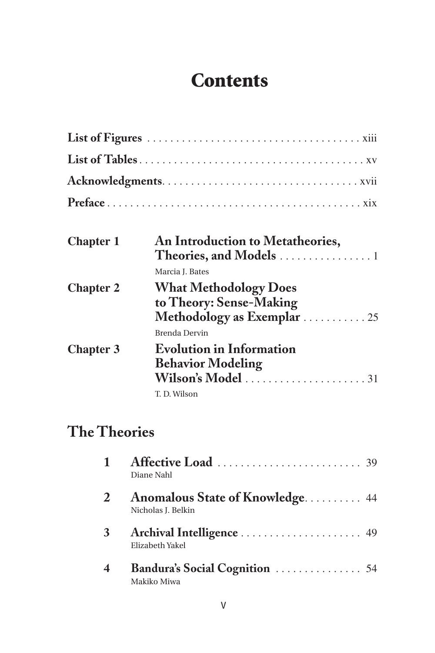## **Contents**

| <b>Chapter 1</b> | An Introduction to Metatheories,<br>Theories, and Models $\dots \dots \dots \dots \dots$         |
|------------------|--------------------------------------------------------------------------------------------------|
| <b>Chapter 2</b> | Marcia I. Bates<br><b>What Methodology Does</b><br>to Theory: Sense-Making                       |
|                  | Methodology as Exemplar  25<br>Brenda Dervin                                                     |
| <b>Chapter 3</b> | <b>Evolution in Information</b><br><b>Behavior Modeling</b><br>Wilson's Model 31<br>T. D. Wilson |

## **The Theories**

|                         | Diane Nahl                                                   |
|-------------------------|--------------------------------------------------------------|
|                         | <b>Anomalous State of Knowledge</b> 44<br>Nicholas J. Belkin |
| 3                       | Archival Intelligence  49<br>Elizabeth Yakel                 |
| $\overline{\mathbf{4}}$ | Makiko Miwa                                                  |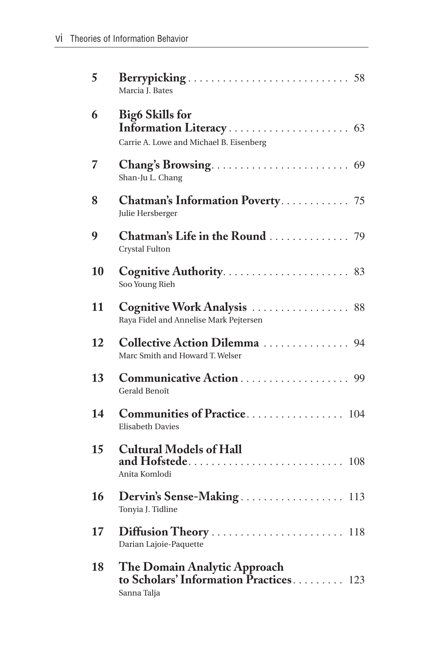| 5  | Marcia J. Bates                                                                       |
|----|---------------------------------------------------------------------------------------|
| 6  | <b>Big6 Skills for</b><br>Carrie A. Lowe and Michael B. Eisenberg                     |
| 7  | Shan-Ju L. Chang                                                                      |
| 8  | Chatman's Information Poverty 75<br>Julie Hersberger                                  |
| 9  | Chatman's Life in the Round  79<br>Crystal Fulton                                     |
| 10 | Soo Young Rieh                                                                        |
| 11 | Cognitive Work Analysis  88<br>Raya Fidel and Annelise Mark Pejtersen                 |
| 12 | Collective Action Dilemma  94<br>Marc Smith and Howard T. Welser                      |
| 13 | Communicative Action 99<br>Gerald Benoît                                              |
| 14 | Communities of Practice 104<br><b>Elisabeth Davies</b>                                |
| 15 | <b>Cultural Models of Hall</b><br>Anita Komlodi                                       |
| 16 | Dervin's Sense-Making 113<br>Tonyia J. Tidline                                        |
| 17 | Diffusion Theory  118<br>Darian Lajoie-Paquette                                       |
| 18 | The Domain Analytic Approach<br>to Scholars' Information Practices 123<br>Sanna Talja |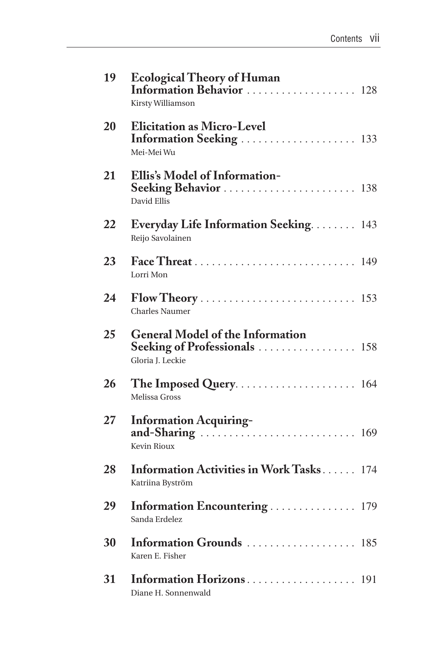| 19 | <b>Ecological Theory of Human</b><br>Information Behavior  128<br>Kirsty Williamson          |  |
|----|----------------------------------------------------------------------------------------------|--|
| 20 | <b>Elicitation as Micro-Level</b><br>Information Seeking  133<br>Mei-Mei Wu                  |  |
| 21 | Ellis's Model of Information-<br>Seeking Behavior  138<br>David Ellis                        |  |
| 22 | Everyday Life Information Seeking 143<br>Reijo Savolainen                                    |  |
| 23 | Lorri Mon                                                                                    |  |
| 24 | <b>Charles Naumer</b>                                                                        |  |
| 25 | <b>General Model of the Information</b><br>Seeking of Professionals  158<br>Gloria J. Leckie |  |
| 26 | Melissa Gross                                                                                |  |
| 27 | <b>Information Acquiring-</b><br>Kevin Rioux                                                 |  |
| 28 | Information Activities in Work Tasks 174<br>Katriina Byström                                 |  |
| 29 | Information Encountering  179<br>Sanda Erdelez                                               |  |
| 30 | Information Grounds  185<br>Karen E. Fisher                                                  |  |
| 31 | Information Horizons 191<br>Diane H. Sonnenwald                                              |  |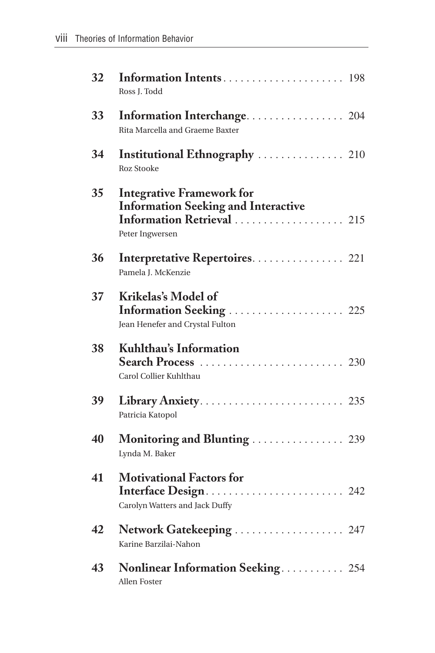| 32 | Ross J. Todd                                                                                                                    |
|----|---------------------------------------------------------------------------------------------------------------------------------|
| 33 | Information Interchange 204<br>Rita Marcella and Graeme Baxter                                                                  |
| 34 | Institutional Ethnography  210<br><b>Roz Stooke</b>                                                                             |
| 35 | <b>Integrative Framework for</b><br><b>Information Seeking and Interactive</b><br>Information Retrieval  215<br>Peter Ingwersen |
| 36 | Interpretative Repertoires 221<br>Pamela J. McKenzie                                                                            |
| 37 | Krikelas's Model of<br>Information Seeking  225<br>Jean Henefer and Crystal Fulton                                              |
| 38 | Kuhlthau's Information<br>Carol Collier Kuhlthau                                                                                |
| 39 | Library Anxiety 235<br>Patricia Katopol                                                                                         |
| 40 | Monitoring and Blunting  239<br>Lynda M. Baker                                                                                  |
| 41 | <b>Motivational Factors for</b><br>Interface Design 242<br>Carolyn Watters and Jack Duffy                                       |
| 42 | Network Gatekeeping  247<br>Karine Barzilai-Nahon                                                                               |
| 43 | Nonlinear Information Seeking 254<br>Allen Foster                                                                               |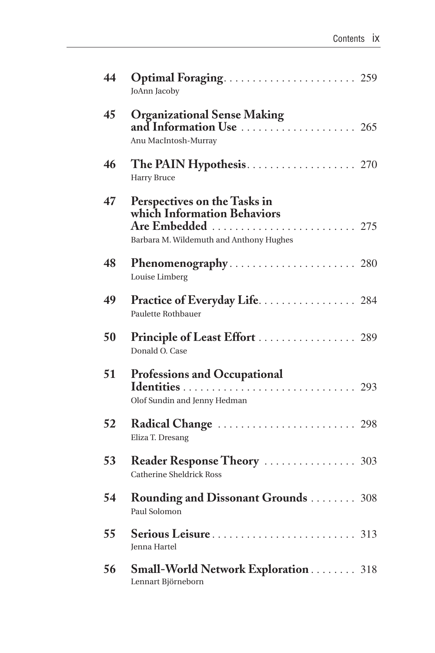| 44 | JoAnn Jacoby                                                                                                                      |
|----|-----------------------------------------------------------------------------------------------------------------------------------|
| 45 | <b>Organizational Sense Making</b><br>and Information Use $\ldots \ldots \ldots \ldots \ldots \ldots$ 265<br>Anu MacIntosh-Murray |
| 46 | <b>Harry Bruce</b>                                                                                                                |
| 47 | Perspectives on the Tasks in<br>which Information Behaviors<br>Are Embedded  275<br>Barbara M. Wildemuth and Anthony Hughes       |
| 48 | Louise Limberg                                                                                                                    |
| 49 | Practice of Everyday Life. 284<br>Paulette Rothbauer                                                                              |
| 50 | Principle of Least Effort  289<br>Donald O. Case                                                                                  |
| 51 | <b>Professions and Occupational</b><br>Olof Sundin and Jenny Hedman                                                               |
| 52 | Eliza T. Dresang                                                                                                                  |
| 53 | Reader Response Theory  303<br><b>Catherine Sheldrick Ross</b>                                                                    |
| 54 | <b>Rounding and Dissonant Grounds </b> 308<br>Paul Solomon                                                                        |
| 55 | <b>Jenna Hartel</b>                                                                                                               |
| 56 | <b>Small-World Network Exploration </b> 318<br>Lennart Björneborn                                                                 |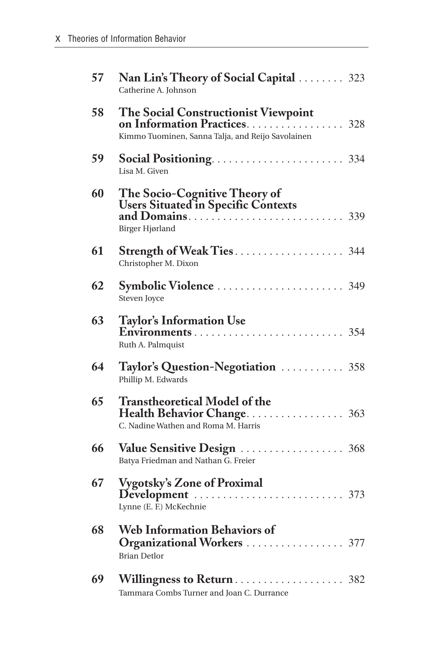| 57 | Nan Lin's Theory of Social Capital  323<br>Catherine A. Johnson                                           |
|----|-----------------------------------------------------------------------------------------------------------|
| 58 | The Social Constructionist Viewpoint<br>Kimmo Tuominen, Sanna Talja, and Reijo Savolainen                 |
| 59 | Lisa M. Given                                                                                             |
| 60 | The Socio-Cognitive Theory of<br><b>Users Situated in Specific Contexts</b><br>Birger Hjørland            |
| 61 | Strength of Weak Ties 344<br>Christopher M. Dixon                                                         |
| 62 | Symbolic Violence  349<br>Steven Joyce                                                                    |
| 63 | <b>Taylor's Information Use</b><br>Ruth A. Palmquist                                                      |
| 64 | Taylor's Question-Negotiation  358<br>Phillip M. Edwards                                                  |
| 65 | <b>Transtheoretical Model of the</b><br>Health Behavior Change 363<br>C. Nadine Wathen and Roma M. Harris |
| 66 | Value Sensitive Design  368<br>Batya Friedman and Nathan G. Freier                                        |
| 67 | <b>Vygotsky's Zone of Proximal</b><br>Lynne (E. F.) McKechnie                                             |
| 68 | <b>Web Information Behaviors of</b><br>Organizational Workers  377<br><b>Brian Detlor</b>                 |
| 69 | Willingness to Return 382<br>Tammara Combs Turner and Joan C. Durrance                                    |